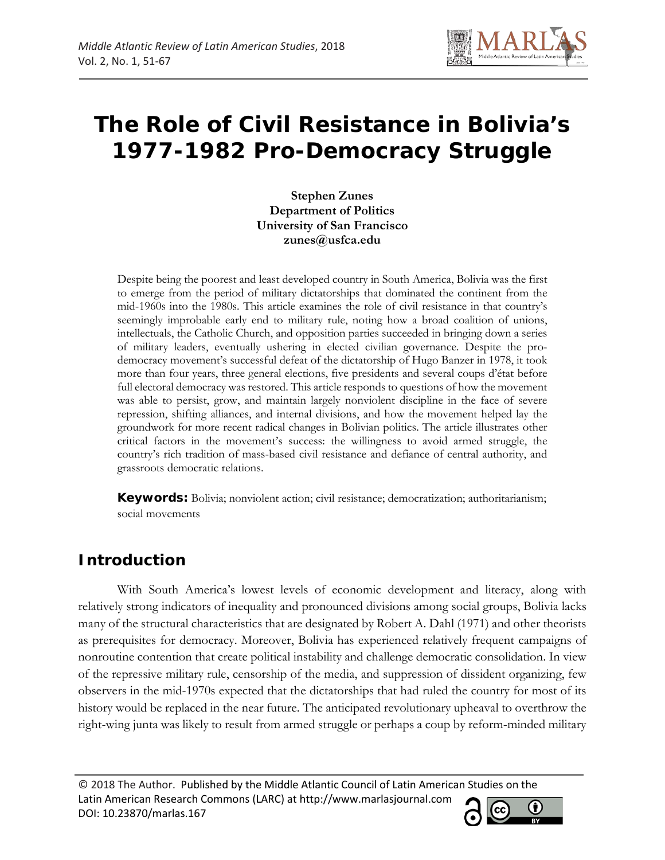

# **The Role of Civil Resistance in Bolivia's 1977-1982 Pro-Democracy Struggle**

**Stephen Zunes Department of Politics University of San Francisco zunes@usfca.edu**

Despite being the poorest and least developed country in South America, Bolivia was the first to emerge from the period of military dictatorships that dominated the continent from the mid-1960s into the 1980s. This article examines the role of civil resistance in that country's seemingly improbable early end to military rule, noting how a broad coalition of unions, intellectuals, the Catholic Church, and opposition parties succeeded in bringing down a series of military leaders, eventually ushering in elected civilian governance. Despite the prodemocracy movement's successful defeat of the dictatorship of Hugo Banzer in 1978, it took more than four years, three general elections, five presidents and several coups d'état before full electoral democracy was restored. This article responds to questions of how the movement was able to persist, grow, and maintain largely nonviolent discipline in the face of severe repression, shifting alliances, and internal divisions, and how the movement helped lay the groundwork for more recent radical changes in Bolivian politics. The article illustrates other critical factors in the movement's success: the willingness to avoid armed struggle, the country's rich tradition of mass-based civil resistance and defiance of central authority, and grassroots democratic relations.

**Keywords:** Bolivia; nonviolent action; civil resistance; democratization; authoritarianism; social movements

# **Introduction**

With South America's lowest levels of economic development and literacy, along with relatively strong indicators of inequality and pronounced divisions among social groups, Bolivia lacks many of the structural characteristics that are designated by Robert A. Dahl (1971) and other theorists as prerequisites for democracy. Moreover, Bolivia has experienced relatively frequent campaigns of nonroutine contention that create political instability and challenge democratic consolidation. In view of the repressive military rule, censorship of the media, and suppression of dissident organizing, few observers in the mid-1970s expected that the dictatorships that had ruled the country for most of its history would be replaced in the near future. The anticipated revolutionary upheaval to overthrow the right-wing junta was likely to result from armed struggle or perhaps a coup by reform-minded military

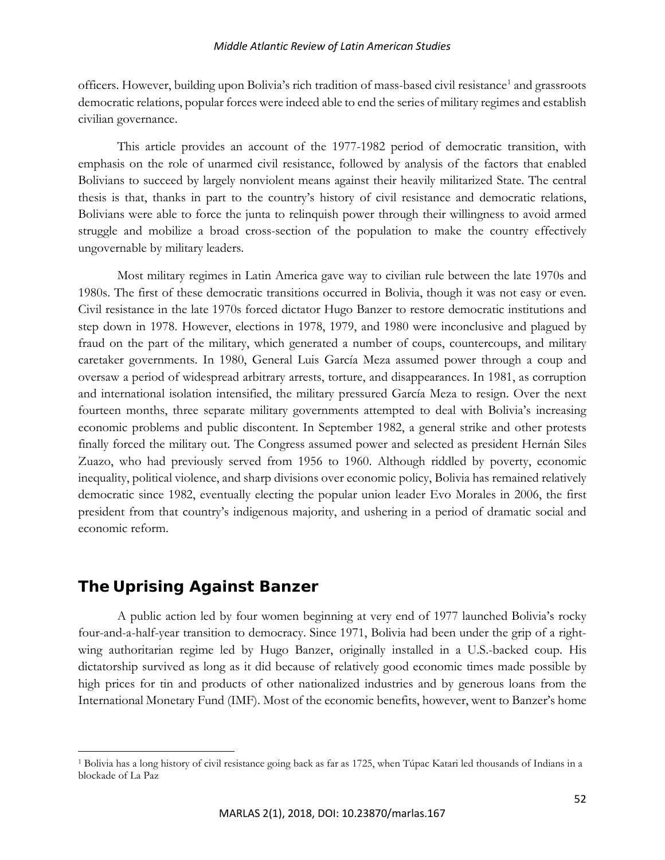officers. However, building upon Bolivia's rich tradition of mass-based civil resistance<sup>[1](#page-1-0)</sup> and grassroots democratic relations, popular forces were indeed able to end the series of military regimes and establish civilian governance.

This article provides an account of the 1977-1982 period of democratic transition, with emphasis on the role of unarmed civil resistance, followed by analysis of the factors that enabled Bolivians to succeed by largely nonviolent means against their heavily militarized State. The central thesis is that, thanks in part to the country's history of civil resistance and democratic relations, Bolivians were able to force the junta to relinquish power through their willingness to avoid armed struggle and mobilize a broad cross-section of the population to make the country effectively ungovernable by military leaders.

Most military regimes in Latin America gave way to civilian rule between the late 1970s and 1980s. The first of these democratic transitions occurred in Bolivia, though it was not easy or even. Civil resistance in the late 1970s forced dictator Hugo Banzer to restore democratic institutions and step down in 1978. However, elections in 1978, 1979, and 1980 were inconclusive and plagued by fraud on the part of the military, which generated a number of coups, countercoups, and military caretaker governments. In 1980, General Luis García Meza assumed power through a coup and oversaw a period of widespread arbitrary arrests, torture, and disappearances. In 1981, as corruption and international isolation intensified, the military pressured García Meza to resign. Over the next fourteen months, three separate military governments attempted to deal with Bolivia's increasing economic problems and public discontent. In September 1982, a general strike and other protests finally forced the military out. The Congress assumed power and selected as president Hernán Siles Zuazo, who had previously served from 1956 to 1960. Although riddled by poverty, economic inequality, political violence, and sharp divisions over economic policy, Bolivia has remained relatively democratic since 1982, eventually electing the popular union leader Evo Morales in 2006, the first president from that country's indigenous majority, and ushering in a period of dramatic social and economic reform.

# **The Uprising Against Banzer**

 $\overline{\phantom{a}}$ 

A public action led by four women beginning at very end of 1977 launched Bolivia's rocky four-and-a-half-year transition to democracy. Since 1971, Bolivia had been under the grip of a rightwing authoritarian regime led by Hugo Banzer, originally installed in a U.S.-backed coup. His dictatorship survived as long as it did because of relatively good economic times made possible by high prices for tin and products of other nationalized industries and by generous loans from the International Monetary Fund (IMF). Most of the economic benefits, however, went to Banzer's home

<span id="page-1-0"></span><sup>1</sup> Bolivia has a long history of civil resistance going back as far as 1725, when Túpac Katari led thousands of Indians in a blockade of La Paz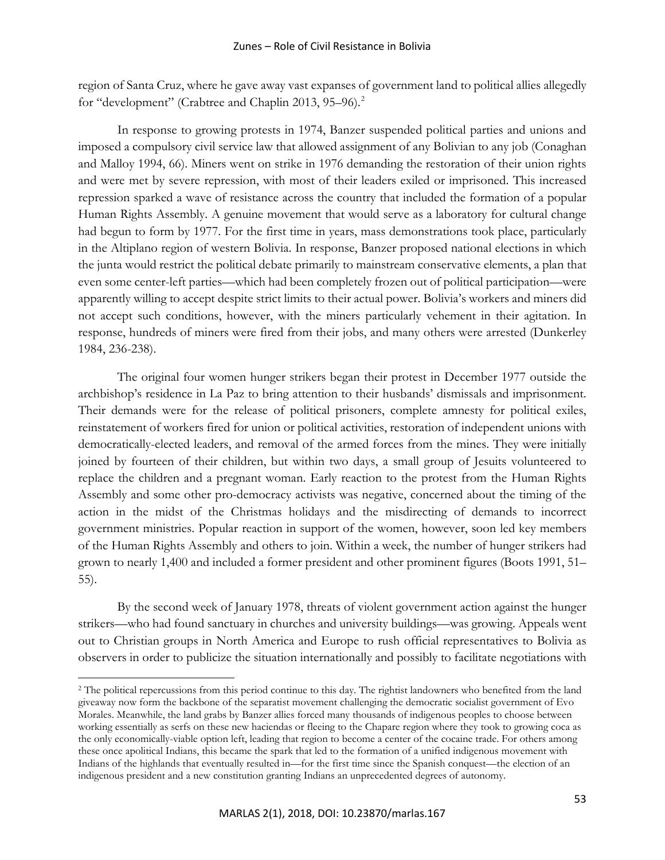region of Santa Cruz, where he gave away vast expanses of government land to political allies allegedly for "development" (Crabtree and Chaplin [2](#page-2-0)013, 95–96).<sup>2</sup>

In response to growing protests in 1974, Banzer suspended political parties and unions and imposed a compulsory civil service law that allowed assignment of any Bolivian to any job (Conaghan and Malloy 1994, 66). Miners went on strike in 1976 demanding the restoration of their union rights and were met by severe repression, with most of their leaders exiled or imprisoned. This increased repression sparked a wave of resistance across the country that included the formation of a popular Human Rights Assembly. A genuine movement that would serve as a laboratory for cultural change had begun to form by 1977. For the first time in years, mass demonstrations took place, particularly in the Altiplano region of western Bolivia. In response, Banzer proposed national elections in which the junta would restrict the political debate primarily to mainstream conservative elements, a plan that even some center-left parties—which had been completely frozen out of political participation—were apparently willing to accept despite strict limits to their actual power. Bolivia's workers and miners did not accept such conditions, however, with the miners particularly vehement in their agitation. In response, hundreds of miners were fired from their jobs, and many others were arrested (Dunkerley 1984, 236-238).

The original four women hunger strikers began their protest in December 1977 outside the archbishop's residence in La Paz to bring attention to their husbands' dismissals and imprisonment. Their demands were for the release of political prisoners, complete amnesty for political exiles, reinstatement of workers fired for union or political activities, restoration of independent unions with democratically-elected leaders, and removal of the armed forces from the mines. They were initially joined by fourteen of their children, but within two days, a small group of Jesuits volunteered to replace the children and a pregnant woman. Early reaction to the protest from the Human Rights Assembly and some other pro-democracy activists was negative, concerned about the timing of the action in the midst of the Christmas holidays and the misdirecting of demands to incorrect government ministries. Popular reaction in support of the women, however, soon led key members of the Human Rights Assembly and others to join. Within a week, the number of hunger strikers had grown to nearly 1,400 and included a former president and other prominent figures (Boots 1991, 51– 55).

By the second week of January 1978, threats of violent government action against the hunger strikers—who had found sanctuary in churches and university buildings—was growing. Appeals went out to Christian groups in North America and Europe to rush official representatives to Bolivia as observers in order to publicize the situation internationally and possibly to facilitate negotiations with

<span id="page-2-0"></span><sup>&</sup>lt;sup>2</sup> The political repercussions from this period continue to this day. The rightist landowners who benefited from the land giveaway now form the backbone of the separatist movement challenging the democratic socialist government of Evo Morales. Meanwhile, the land grabs by Banzer allies forced many thousands of indigenous peoples to choose between working essentially as serfs on these new haciendas or fleeing to the Chapare region where they took to growing coca as the only economically-viable option left, leading that region to become a center of the cocaine trade. For others among these once apolitical Indians, this became the spark that led to the formation of a unified indigenous movement with Indians of the highlands that eventually resulted in—for the first time since the Spanish conquest—the election of an indigenous president and a new constitution granting Indians an unprecedented degrees of autonomy.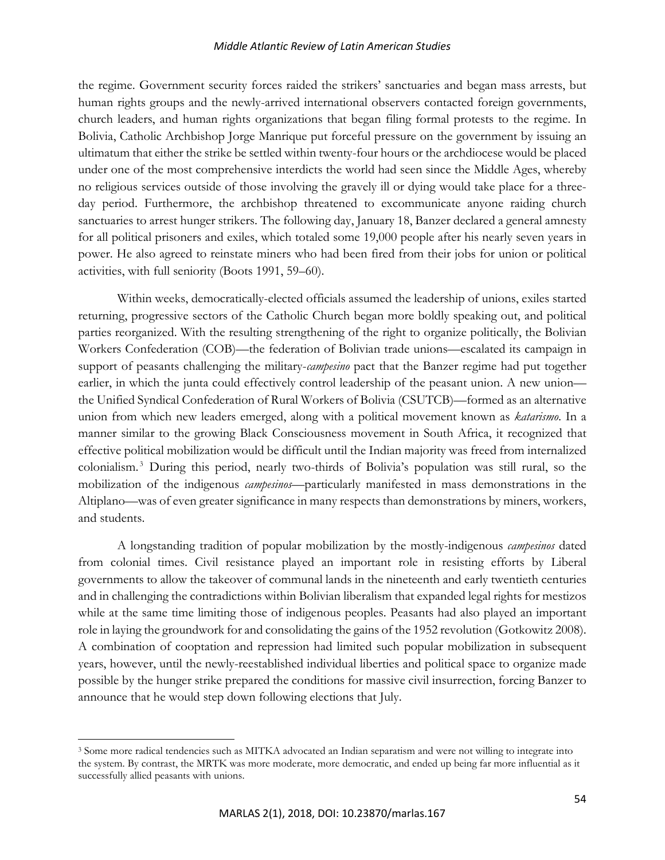the regime. Government security forces raided the strikers' sanctuaries and began mass arrests, but human rights groups and the newly-arrived international observers contacted foreign governments, church leaders, and human rights organizations that began filing formal protests to the regime. In Bolivia, Catholic Archbishop Jorge Manrique put forceful pressure on the government by issuing an ultimatum that either the strike be settled within twenty-four hours or the archdiocese would be placed under one of the most comprehensive interdicts the world had seen since the Middle Ages, whereby no religious services outside of those involving the gravely ill or dying would take place for a threeday period. Furthermore, the archbishop threatened to excommunicate anyone raiding church sanctuaries to arrest hunger strikers. The following day, January 18, Banzer declared a general amnesty for all political prisoners and exiles, which totaled some 19,000 people after his nearly seven years in power. He also agreed to reinstate miners who had been fired from their jobs for union or political activities, with full seniority (Boots 1991, 59–60).

Within weeks, democratically-elected officials assumed the leadership of unions, exiles started returning, progressive sectors of the Catholic Church began more boldly speaking out, and political parties reorganized. With the resulting strengthening of the right to organize politically, the Bolivian Workers Confederation (COB)—the federation of Bolivian trade unions—escalated its campaign in support of peasants challenging the military-*campesino* pact that the Banzer regime had put together earlier, in which the junta could effectively control leadership of the peasant union. A new union the Unified Syndical Confederation of Rural Workers of Bolivia (CSUTCB)—formed as an alternative union from which new leaders emerged, along with a political movement known as *katarismo*. In a manner similar to the growing Black Consciousness movement in South Africa, it recognized that effective political mobilization would be difficult until the Indian majority was freed from internalized colonialism. [3](#page-3-0) During this period, nearly two-thirds of Bolivia's population was still rural, so the mobilization of the indigenous *campesinos*—particularly manifested in mass demonstrations in the Altiplano—was of even greater significance in many respects than demonstrations by miners, workers, and students.

A longstanding tradition of popular mobilization by the mostly-indigenous *campesinos* dated from colonial times. Civil resistance played an important role in resisting efforts by Liberal governments to allow the takeover of communal lands in the nineteenth and early twentieth centuries and in challenging the contradictions within Bolivian liberalism that expanded legal rights for mestizos while at the same time limiting those of indigenous peoples. Peasants had also played an important role in laying the groundwork for and consolidating the gains of the 1952 revolution (Gotkowitz 2008). A combination of cooptation and repression had limited such popular mobilization in subsequent years, however, until the newly-reestablished individual liberties and political space to organize made possible by the hunger strike prepared the conditions for massive civil insurrection, forcing Banzer to announce that he would step down following elections that July.

<span id="page-3-0"></span><sup>3</sup> Some more radical tendencies such as MITKA advocated an Indian separatism and were not willing to integrate into the system. By contrast, the MRTK was more moderate, more democratic, and ended up being far more influential as it successfully allied peasants with unions.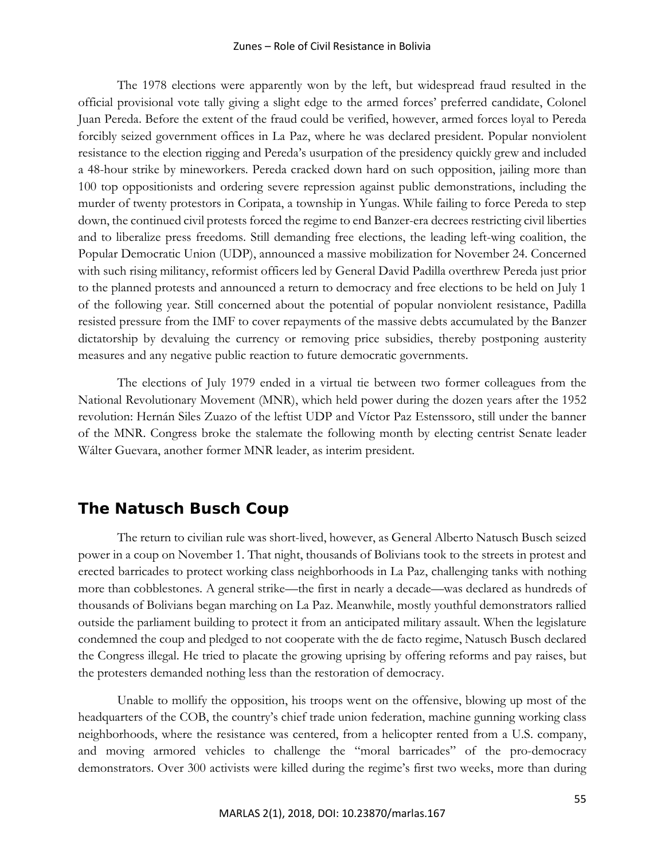#### Zunes – Role of Civil Resistance in Bolivia

The 1978 elections were apparently won by the left, but widespread fraud resulted in the official provisional vote tally giving a slight edge to the armed forces' preferred candidate, Colonel Juan Pereda. Before the extent of the fraud could be verified, however, armed forces loyal to Pereda forcibly seized government offices in La Paz, where he was declared president. Popular nonviolent resistance to the election rigging and Pereda's usurpation of the presidency quickly grew and included a 48-hour strike by mineworkers. Pereda cracked down hard on such opposition, jailing more than 100 top oppositionists and ordering severe repression against public demonstrations, including the murder of twenty protestors in Coripata, a township in Yungas. While failing to force Pereda to step down, the continued civil protests forced the regime to end Banzer-era decrees restricting civil liberties and to liberalize press freedoms. Still demanding free elections, the leading left-wing coalition, the Popular Democratic Union (UDP), announced a massive mobilization for November 24. Concerned with such rising militancy, reformist officers led by General David Padilla overthrew Pereda just prior to the planned protests and announced a return to democracy and free elections to be held on July 1 of the following year. Still concerned about the potential of popular nonviolent resistance, Padilla resisted pressure from the IMF to cover repayments of the massive debts accumulated by the Banzer dictatorship by devaluing the currency or removing price subsidies, thereby postponing austerity measures and any negative public reaction to future democratic governments.

The elections of July 1979 ended in a virtual tie between two former colleagues from the National Revolutionary Movement (MNR), which held power during the dozen years after the 1952 revolution: Hernán Siles Zuazo of the leftist UDP and Víctor Paz Estenssoro, still under the banner of the MNR. Congress broke the stalemate the following month by electing centrist Senate leader Wálter Guevara, another former MNR leader, as interim president.

# **The Natusch Busch Coup**

The return to civilian rule was short-lived, however, as General Alberto Natusch Busch seized power in a coup on November 1. That night, thousands of Bolivians took to the streets in protest and erected barricades to protect working class neighborhoods in La Paz, challenging tanks with nothing more than cobblestones. A general strike—the first in nearly a decade—was declared as hundreds of thousands of Bolivians began marching on La Paz. Meanwhile, mostly youthful demonstrators rallied outside the parliament building to protect it from an anticipated military assault. When the legislature condemned the coup and pledged to not cooperate with the de facto regime, Natusch Busch declared the Congress illegal. He tried to placate the growing uprising by offering reforms and pay raises, but the protesters demanded nothing less than the restoration of democracy.

Unable to mollify the opposition, his troops went on the offensive, blowing up most of the headquarters of the COB, the country's chief trade union federation, machine gunning working class neighborhoods, where the resistance was centered, from a helicopter rented from a U.S. company, and moving armored vehicles to challenge the "moral barricades" of the pro-democracy demonstrators. Over 300 activists were killed during the regime's first two weeks, more than during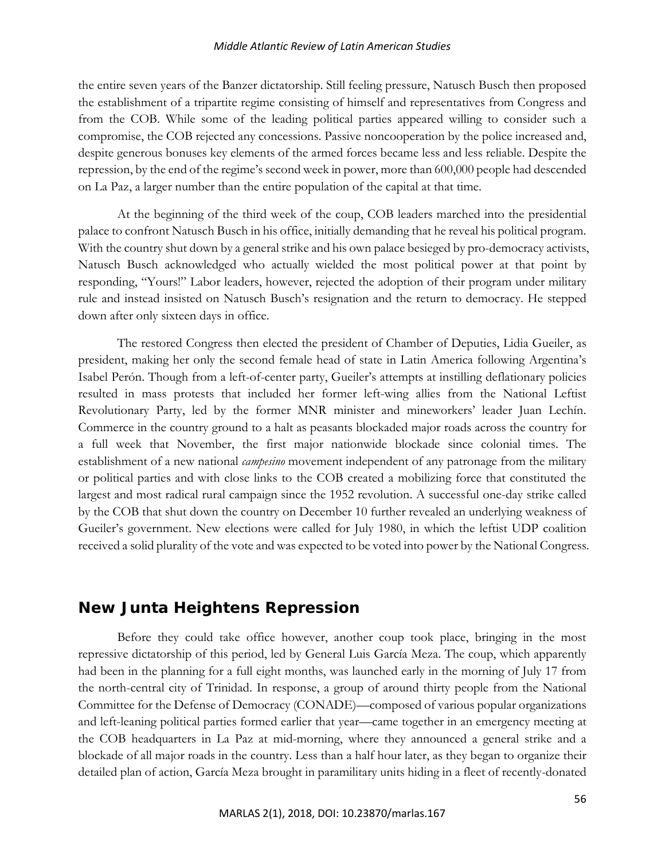the entire seven years of the Banzer dictatorship. Still feeling pressure, Natusch Busch then proposed the establishment of a tripartite regime consisting of himself and representatives from Congress and from the COB. While some of the leading political parties appeared willing to consider such a compromise, the COB rejected any concessions. Passive noncooperation by the police increased and, despite generous bonuses key elements of the armed forces became less and less reliable. Despite the repression, by the end of the regime's second week in power, more than 600,000 people had descended on La Paz, a larger number than the entire population of the capital at that time.

At the beginning of the third week of the coup, COB leaders marched into the presidential palace to confront Natusch Busch in his office, initially demanding that he reveal his political program. With the country shut down by a general strike and his own palace besieged by pro-democracy activists, Natusch Busch acknowledged who actually wielded the most political power at that point by responding, "Yours!" Labor leaders, however, rejected the adoption of their program under military rule and instead insisted on Natusch Busch's resignation and the return to democracy. He stepped down after only sixteen days in office.

The restored Congress then elected the president of Chamber of Deputies, Lidia Gueiler, as president, making her only the second female head of state in Latin America following Argentina's Isabel Perón. Though from a left-of-center party, Gueiler's attempts at instilling deflationary policies resulted in mass protests that included her former left-wing allies from the National Leftist Revolutionary Party, led by the former MNR minister and mineworkers' leader Juan Lechín. Commerce in the country ground to a halt as peasants blockaded major roads across the country for a full week that November, the first major nationwide blockade since colonial times. The establishment of a new national *campesino* movement independent of any patronage from the military or political parties and with close links to the COB created a mobilizing force that constituted the largest and most radical rural campaign since the 1952 revolution. A successful one-day strike called by the COB that shut down the country on December 10 further revealed an underlying weakness of Gueiler's government. New elections were called for July 1980, in which the leftist UDP coalition received a solid plurality of the vote and was expected to be voted into power by the National Congress.

# **New Junta Heightens Repression**

Before they could take office however, another coup took place, bringing in the most repressive dictatorship of this period, led by General Luis García Meza. The coup, which apparently had been in the planning for a full eight months, was launched early in the morning of July 17 from the north-central city of Trinidad. In response, a group of around thirty people from the National Committee for the Defense of Democracy (CONADE)—composed of various popular organizations and left-leaning political parties formed earlier that year—came together in an emergency meeting at the COB headquarters in La Paz at mid-morning, where they announced a general strike and a blockade of all major roads in the country. Less than a half hour later, as they began to organize their detailed plan of action, García Meza brought in paramilitary units hiding in a fleet of recently-donated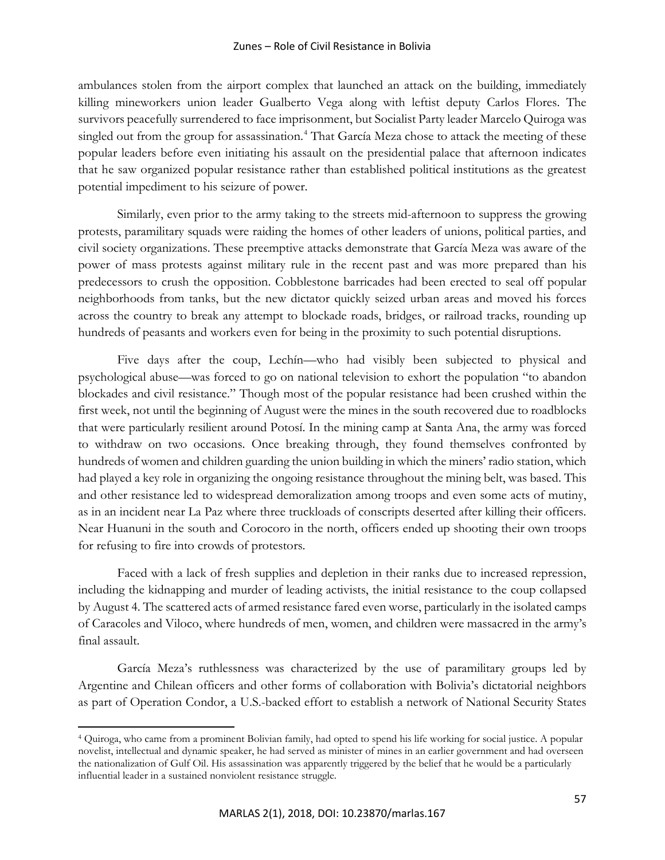ambulances stolen from the airport complex that launched an attack on the building, immediately killing mineworkers union leader Gualberto Vega along with leftist deputy Carlos Flores. The survivors peacefully surrendered to face imprisonment, but Socialist Party leader Marcelo Quiroga was singled out from the group for assassination.<sup>[4](#page-6-0)</sup> That García Meza chose to attack the meeting of these popular leaders before even initiating his assault on the presidential palace that afternoon indicates that he saw organized popular resistance rather than established political institutions as the greatest potential impediment to his seizure of power.

Similarly, even prior to the army taking to the streets mid-afternoon to suppress the growing protests, paramilitary squads were raiding the homes of other leaders of unions, political parties, and civil society organizations. These preemptive attacks demonstrate that García Meza was aware of the power of mass protests against military rule in the recent past and was more prepared than his predecessors to crush the opposition. Cobblestone barricades had been erected to seal off popular neighborhoods from tanks, but the new dictator quickly seized urban areas and moved his forces across the country to break any attempt to blockade roads, bridges, or railroad tracks, rounding up hundreds of peasants and workers even for being in the proximity to such potential disruptions.

Five days after the coup, Lechín—who had visibly been subjected to physical and psychological abuse—was forced to go on national television to exhort the population "to abandon blockades and civil resistance." Though most of the popular resistance had been crushed within the first week, not until the beginning of August were the mines in the south recovered due to roadblocks that were particularly resilient around Potosí. In the mining camp at Santa Ana, the army was forced to withdraw on two occasions. Once breaking through, they found themselves confronted by hundreds of women and children guarding the union building in which the miners' radio station, which had played a key role in organizing the ongoing resistance throughout the mining belt, was based. This and other resistance led to widespread demoralization among troops and even some acts of mutiny, as in an incident near La Paz where three truckloads of conscripts deserted after killing their officers. Near Huanuni in the south and Corocoro in the north, officers ended up shooting their own troops for refusing to fire into crowds of protestors.

Faced with a lack of fresh supplies and depletion in their ranks due to increased repression, including the kidnapping and murder of leading activists, the initial resistance to the coup collapsed by August 4. The scattered acts of armed resistance fared even worse, particularly in the isolated camps of Caracoles and Viloco, where hundreds of men, women, and children were massacred in the army's final assault.

García Meza's ruthlessness was characterized by the use of paramilitary groups led by Argentine and Chilean officers and other forms of collaboration with Bolivia's dictatorial neighbors as part of Operation Condor, a U.S.-backed effort to establish a network of National Security States

<span id="page-6-0"></span><sup>4</sup> Quiroga, who came from a prominent Bolivian family, had opted to spend his life working for social justice. A popular novelist, intellectual and dynamic speaker, he had served as minister of mines in an earlier government and had overseen the nationalization of Gulf Oil. His assassination was apparently triggered by the belief that he would be a particularly influential leader in a sustained nonviolent resistance struggle.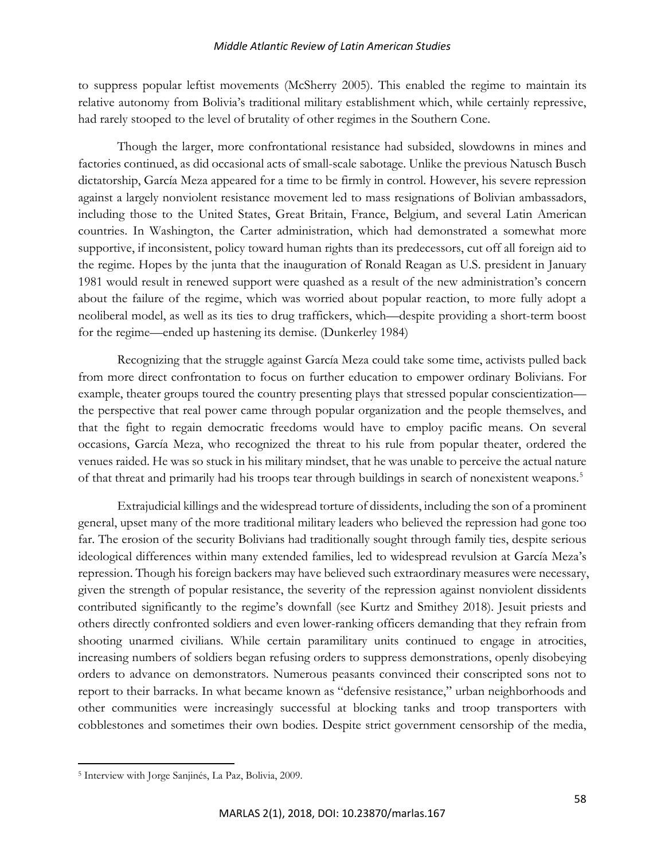to suppress popular leftist movements (McSherry 2005). This enabled the regime to maintain its relative autonomy from Bolivia's traditional military establishment which, while certainly repressive, had rarely stooped to the level of brutality of other regimes in the Southern Cone.

Though the larger, more confrontational resistance had subsided, slowdowns in mines and factories continued, as did occasional acts of small-scale sabotage. Unlike the previous Natusch Busch dictatorship, García Meza appeared for a time to be firmly in control. However, his severe repression against a largely nonviolent resistance movement led to mass resignations of Bolivian ambassadors, including those to the United States, Great Britain, France, Belgium, and several Latin American countries. In Washington, the Carter administration, which had demonstrated a somewhat more supportive, if inconsistent, policy toward human rights than its predecessors, cut off all foreign aid to the regime. Hopes by the junta that the inauguration of Ronald Reagan as U.S. president in January 1981 would result in renewed support were quashed as a result of the new administration's concern about the failure of the regime, which was worried about popular reaction, to more fully adopt a neoliberal model, as well as its ties to drug traffickers, which—despite providing a short-term boost for the regime—ended up hastening its demise. (Dunkerley 1984)

Recognizing that the struggle against García Meza could take some time, activists pulled back from more direct confrontation to focus on further education to empower ordinary Bolivians. For example, theater groups toured the country presenting plays that stressed popular conscientization the perspective that real power came through popular organization and the people themselves, and that the fight to regain democratic freedoms would have to employ pacific means. On several occasions, García Meza, who recognized the threat to his rule from popular theater, ordered the venues raided. He was so stuck in his military mindset, that he was unable to perceive the actual nature of that threat and primarily had his troops tear through buildings in search of nonexistent weapons.<sup>[5](#page-7-0)</sup>

Extrajudicial killings and the widespread torture of dissidents, including the son of a prominent general, upset many of the more traditional military leaders who believed the repression had gone too far. The erosion of the security Bolivians had traditionally sought through family ties, despite serious ideological differences within many extended families, led to widespread revulsion at García Meza's repression. Though his foreign backers may have believed such extraordinary measures were necessary, given the strength of popular resistance, the severity of the repression against nonviolent dissidents contributed significantly to the regime's downfall (see Kurtz and Smithey 2018). Jesuit priests and others directly confronted soldiers and even lower-ranking officers demanding that they refrain from shooting unarmed civilians. While certain paramilitary units continued to engage in atrocities, increasing numbers of soldiers began refusing orders to suppress demonstrations, openly disobeying orders to advance on demonstrators. Numerous peasants convinced their conscripted sons not to report to their barracks. In what became known as "defensive resistance," urban neighborhoods and other communities were increasingly successful at blocking tanks and troop transporters with cobblestones and sometimes their own bodies. Despite strict government censorship of the media,

<span id="page-7-0"></span><sup>5</sup> Interview with Jorge Sanjinés, La Paz, Bolivia, 2009.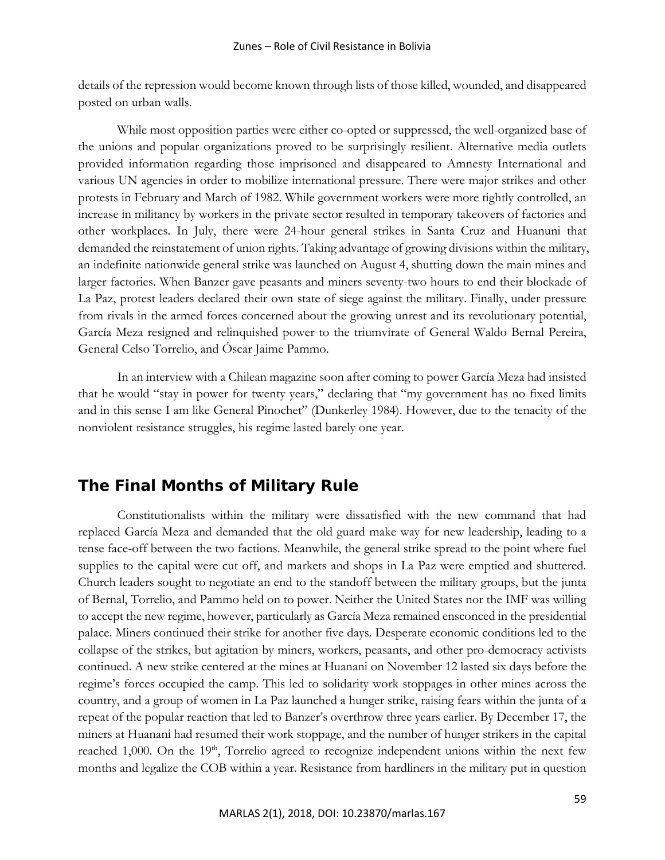details of the repression would become known through lists of those killed, wounded, and disappeared posted on urban walls.

While most opposition parties were either co-opted or suppressed, the well-organized base of the unions and popular organizations proved to be surprisingly resilient. Alternative media outlets provided information regarding those imprisoned and disappeared to Amnesty International and various UN agencies in order to mobilize international pressure. There were major strikes and other protests in February and March of 1982. While government workers were more tightly controlled, an increase in militancy by workers in the private sector resulted in temporary takeovers of factories and other workplaces. In July, there were 24-hour general strikes in Santa Cruz and Huanuni that demanded the reinstatement of union rights. Taking advantage of growing divisions within the military, an indefinite nationwide general strike was launched on August 4, shutting down the main mines and larger factories. When Banzer gave peasants and miners seventy-two hours to end their blockade of La Paz, protest leaders declared their own state of siege against the military. Finally, under pressure from rivals in the armed forces concerned about the growing unrest and its revolutionary potential, García Meza resigned and relinquished power to the triumvirate of General Waldo Bernal Pereira, General Celso Torrelio, and Óscar Jaime Pammo.

In an interview with a Chilean magazine soon after coming to power García Meza had insisted that he would "stay in power for twenty years," declaring that "my government has no fixed limits and in this sense I am like General Pinochet" (Dunkerley 1984). However, due to the tenacity of the nonviolent resistance struggles, his regime lasted barely one year.

# **The Final Months of Military Rule**

Constitutionalists within the military were dissatisfied with the new command that had replaced García Meza and demanded that the old guard make way for new leadership, leading to a tense face-off between the two factions. Meanwhile, the general strike spread to the point where fuel supplies to the capital were cut off, and markets and shops in La Paz were emptied and shuttered. Church leaders sought to negotiate an end to the standoff between the military groups, but the junta of Bernal, Torrelio, and Pammo held on to power. Neither the United States nor the IMF was willing to accept the new regime, however, particularly as García Meza remained ensconced in the presidential palace. Miners continued their strike for another five days. Desperate economic conditions led to the collapse of the strikes, but agitation by miners, workers, peasants, and other pro-democracy activists continued. A new strike centered at the mines at Huanani on November 12 lasted six days before the regime's forces occupied the camp. This led to solidarity work stoppages in other mines across the country, and a group of women in La Paz launched a hunger strike, raising fears within the junta of a repeat of the popular reaction that led to Banzer's overthrow three years earlier. By December 17, the miners at Huanani had resumed their work stoppage, and the number of hunger strikers in the capital reached 1,000. On the  $19<sup>th</sup>$ , Torrelio agreed to recognize independent unions within the next few months and legalize the COB within a year. Resistance from hardliners in the military put in question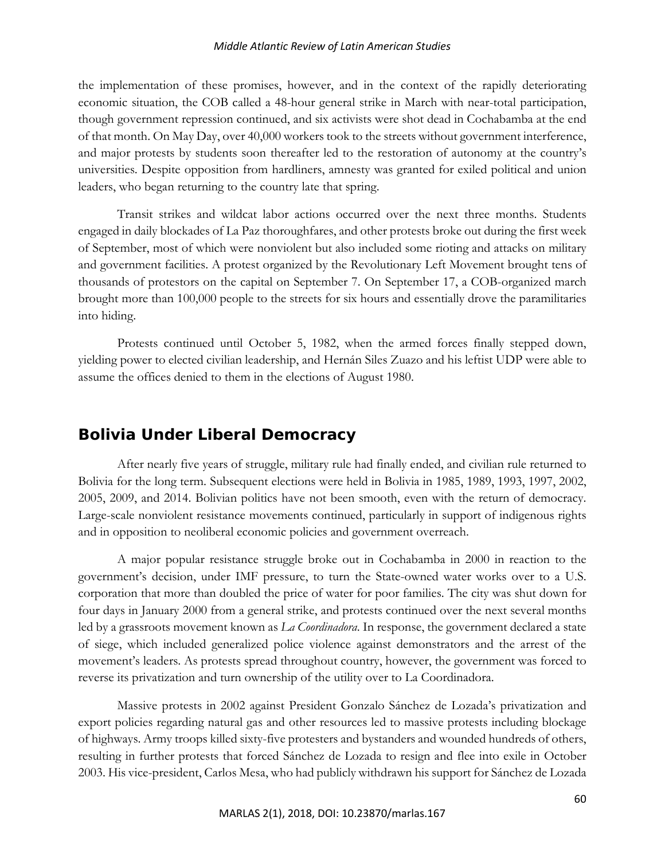the implementation of these promises, however, and in the context of the rapidly deteriorating economic situation, the COB called a 48-hour general strike in March with near-total participation, though government repression continued, and six activists were shot dead in Cochabamba at the end of that month. On May Day, over 40,000 workers took to the streets without government interference, and major protests by students soon thereafter led to the restoration of autonomy at the country's universities. Despite opposition from hardliners, amnesty was granted for exiled political and union leaders, who began returning to the country late that spring.

Transit strikes and wildcat labor actions occurred over the next three months. Students engaged in daily blockades of La Paz thoroughfares, and other protests broke out during the first week of September, most of which were nonviolent but also included some rioting and attacks on military and government facilities. A protest organized by the Revolutionary Left Movement brought tens of thousands of protestors on the capital on September 7. On September 17, a COB-organized march brought more than 100,000 people to the streets for six hours and essentially drove the paramilitaries into hiding.

Protests continued until October 5, 1982, when the armed forces finally stepped down, yielding power to elected civilian leadership, and Hernán Siles Zuazo and his leftist UDP were able to assume the offices denied to them in the elections of August 1980.

# **Bolivia Under Liberal Democracy**

After nearly five years of struggle, military rule had finally ended, and civilian rule returned to Bolivia for the long term. Subsequent elections were held in Bolivia in 1985, 1989, 1993, 1997, 2002, 2005, 2009, and 2014. Bolivian politics have not been smooth, even with the return of democracy. Large-scale nonviolent resistance movements continued, particularly in support of indigenous rights and in opposition to neoliberal economic policies and government overreach.

A major popular resistance struggle broke out in Cochabamba in 2000 in reaction to the government's decision, under IMF pressure, to turn the State-owned water works over to a U.S. corporation that more than doubled the price of water for poor families. The city was shut down for four days in January 2000 from a general strike, and protests continued over the next several months led by a grassroots movement known as *La Coordinadora*. In response, the government declared a state of siege, which included generalized police violence against demonstrators and the arrest of the movement's leaders. As protests spread throughout country, however, the government was forced to reverse its privatization and turn ownership of the utility over to La Coordinadora.

Massive protests in 2002 against President Gonzalo Sánchez de Lozada's privatization and export policies regarding natural gas and other resources led to massive protests including blockage of highways. Army troops killed sixty-five protesters and bystanders and wounded hundreds of others, resulting in further protests that forced Sánchez de Lozada to resign and flee into exile in October 2003. His vice-president, Carlos Mesa, who had publicly withdrawn his support for Sánchez de Lozada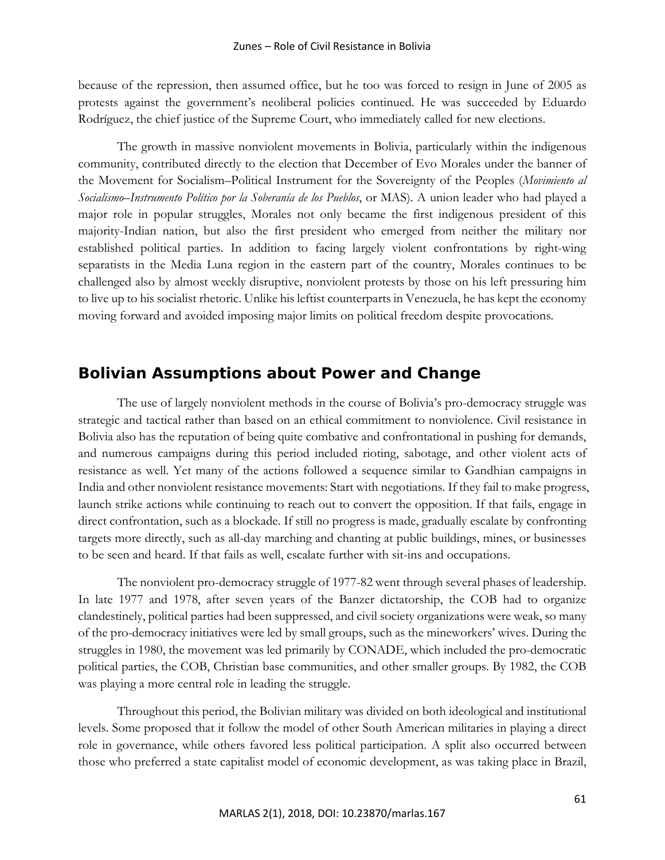because of the repression, then assumed office, but he too was forced to resign in June of 2005 as protests against the government's neoliberal policies continued. He was succeeded by Eduardo Rodríguez, the chief justice of the Supreme Court, who immediately called for new elections.

The growth in massive nonviolent movements in Bolivia, particularly within the indigenous community, contributed directly to the election that December of Evo Morales under the banner of the Movement for Socialism–Political Instrument for the Sovereignty of the Peoples (*Movimiento al Socialismo–Instrumento Político por la Soberanía de los Pueblos*, or MAS). A union leader who had played a major role in popular struggles, Morales not only became the first indigenous president of this majority-Indian nation, but also the first president who emerged from neither the military nor established political parties. In addition to facing largely violent confrontations by right-wing separatists in the Media Luna region in the eastern part of the country, Morales continues to be challenged also by almost weekly disruptive, nonviolent protests by those on his left pressuring him to live up to his socialist rhetoric. Unlike his leftist counterparts in Venezuela, he has kept the economy moving forward and avoided imposing major limits on political freedom despite provocations.

# **Bolivian Assumptions about Power and Change**

The use of largely nonviolent methods in the course of Bolivia's pro-democracy struggle was strategic and tactical rather than based on an ethical commitment to nonviolence. Civil resistance in Bolivia also has the reputation of being quite combative and confrontational in pushing for demands, and numerous campaigns during this period included rioting, sabotage, and other violent acts of resistance as well. Yet many of the actions followed a sequence similar to Gandhian campaigns in India and other nonviolent resistance movements: Start with negotiations. If they fail to make progress, launch strike actions while continuing to reach out to convert the opposition. If that fails, engage in direct confrontation, such as a blockade. If still no progress is made, gradually escalate by confronting targets more directly, such as all-day marching and chanting at public buildings, mines, or businesses to be seen and heard. If that fails as well, escalate further with sit-ins and occupations.

The nonviolent pro-democracy struggle of 1977-82 went through several phases of leadership. In late 1977 and 1978, after seven years of the Banzer dictatorship, the COB had to organize clandestinely, political parties had been suppressed, and civil society organizations were weak, so many of the pro-democracy initiatives were led by small groups, such as the mineworkers' wives. During the struggles in 1980, the movement was led primarily by CONADE, which included the pro-democratic political parties, the COB, Christian base communities, and other smaller groups. By 1982, the COB was playing a more central role in leading the struggle.

Throughout this period, the Bolivian military was divided on both ideological and institutional levels. Some proposed that it follow the model of other South American militaries in playing a direct role in governance, while others favored less political participation. A split also occurred between those who preferred a state capitalist model of economic development, as was taking place in Brazil,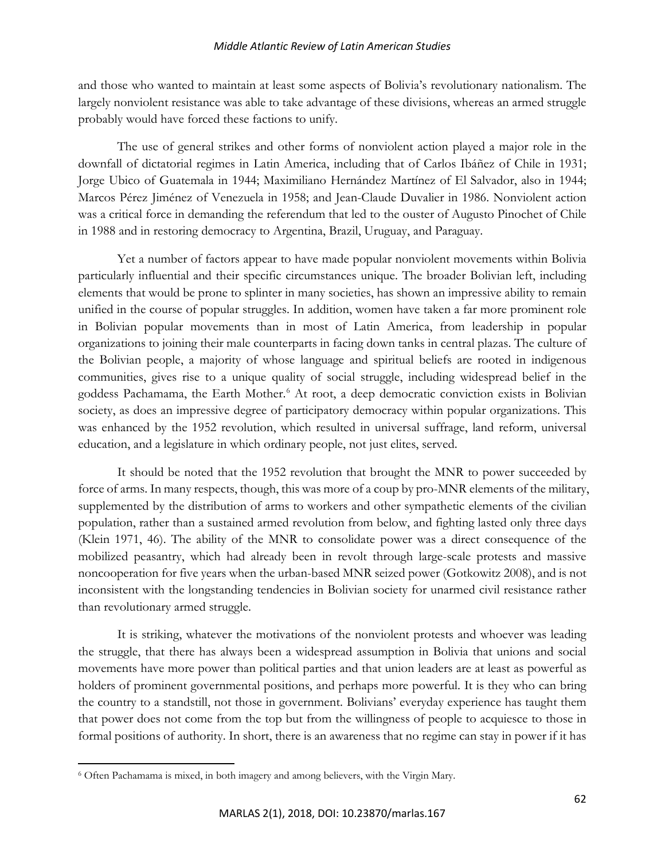and those who wanted to maintain at least some aspects of Bolivia's revolutionary nationalism. The largely nonviolent resistance was able to take advantage of these divisions, whereas an armed struggle probably would have forced these factions to unify.

The use of general strikes and other forms of nonviolent action played a major role in the downfall of dictatorial regimes in Latin America, including that of Carlos Ibáñez of Chile in 1931; Jorge Ubico of Guatemala in 1944; Maximiliano Hernández Martínez of El Salvador, also in 1944; Marcos Pérez Jiménez of Venezuela in 1958; and Jean-Claude Duvalier in 1986. Nonviolent action was a critical force in demanding the referendum that led to the ouster of Augusto Pinochet of Chile in 1988 and in restoring democracy to Argentina, Brazil, Uruguay, and Paraguay.

Yet a number of factors appear to have made popular nonviolent movements within Bolivia particularly influential and their specific circumstances unique. The broader Bolivian left, including elements that would be prone to splinter in many societies, has shown an impressive ability to remain unified in the course of popular struggles. In addition, women have taken a far more prominent role in Bolivian popular movements than in most of Latin America, from leadership in popular organizations to joining their male counterparts in facing down tanks in central plazas. The culture of the Bolivian people, a majority of whose language and spiritual beliefs are rooted in indigenous communities, gives rise to a unique quality of social struggle, including widespread belief in the goddess Pachamama, the Earth Mother.<sup>[6](#page-11-0)</sup> At root, a deep democratic conviction exists in Bolivian society, as does an impressive degree of participatory democracy within popular organizations. This was enhanced by the 1952 revolution, which resulted in universal suffrage, land reform, universal education, and a legislature in which ordinary people, not just elites, served.

It should be noted that the 1952 revolution that brought the MNR to power succeeded by force of arms. In many respects, though, this was more of a coup by pro-MNR elements of the military, supplemented by the distribution of arms to workers and other sympathetic elements of the civilian population, rather than a sustained armed revolution from below, and fighting lasted only three days (Klein 1971, 46). The ability of the MNR to consolidate power was a direct consequence of the mobilized peasantry, which had already been in revolt through large-scale protests and massive noncooperation for five years when the urban-based MNR seized power (Gotkowitz 2008), and is not inconsistent with the longstanding tendencies in Bolivian society for unarmed civil resistance rather than revolutionary armed struggle.

It is striking, whatever the motivations of the nonviolent protests and whoever was leading the struggle, that there has always been a widespread assumption in Bolivia that unions and social movements have more power than political parties and that union leaders are at least as powerful as holders of prominent governmental positions, and perhaps more powerful. It is they who can bring the country to a standstill, not those in government. Bolivians' everyday experience has taught them that power does not come from the top but from the willingness of people to acquiesce to those in formal positions of authority. In short, there is an awareness that no regime can stay in power if it has

<span id="page-11-0"></span><sup>6</sup> Often Pachamama is mixed, in both imagery and among believers, with the Virgin Mary.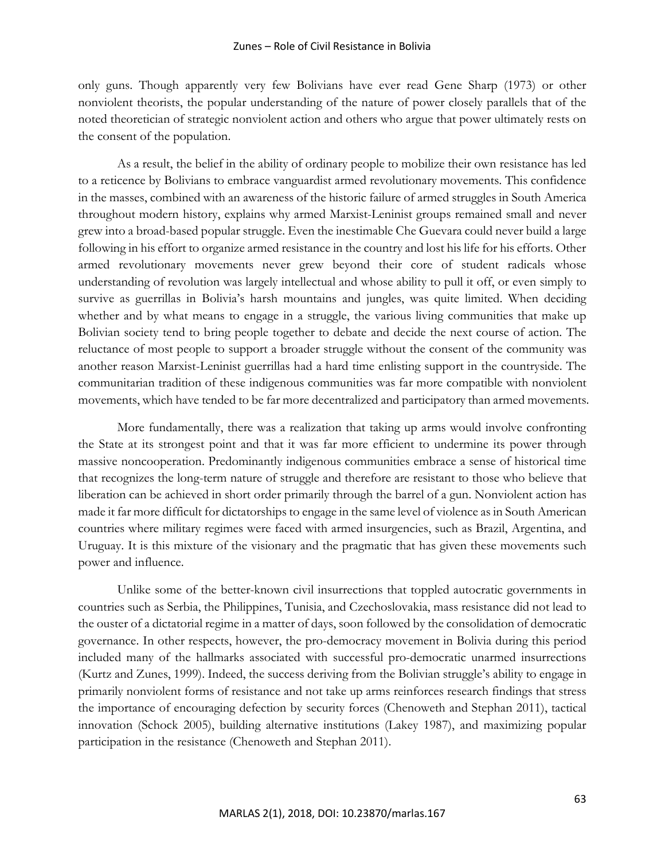only guns. Though apparently very few Bolivians have ever read Gene Sharp (1973) or other nonviolent theorists, the popular understanding of the nature of power closely parallels that of the noted theoretician of strategic nonviolent action and others who argue that power ultimately rests on the consent of the population.

As a result, the belief in the ability of ordinary people to mobilize their own resistance has led to a reticence by Bolivians to embrace vanguardist armed revolutionary movements. This confidence in the masses, combined with an awareness of the historic failure of armed struggles in South America throughout modern history, explains why armed Marxist-Leninist groups remained small and never grew into a broad-based popular struggle. Even the inestimable Che Guevara could never build a large following in his effort to organize armed resistance in the country and lost his life for his efforts. Other armed revolutionary movements never grew beyond their core of student radicals whose understanding of revolution was largely intellectual and whose ability to pull it off, or even simply to survive as guerrillas in Bolivia's harsh mountains and jungles, was quite limited. When deciding whether and by what means to engage in a struggle, the various living communities that make up Bolivian society tend to bring people together to debate and decide the next course of action. The reluctance of most people to support a broader struggle without the consent of the community was another reason Marxist-Leninist guerrillas had a hard time enlisting support in the countryside. The communitarian tradition of these indigenous communities was far more compatible with nonviolent movements, which have tended to be far more decentralized and participatory than armed movements.

More fundamentally, there was a realization that taking up arms would involve confronting the State at its strongest point and that it was far more efficient to undermine its power through massive noncooperation. Predominantly indigenous communities embrace a sense of historical time that recognizes the long-term nature of struggle and therefore are resistant to those who believe that liberation can be achieved in short order primarily through the barrel of a gun. Nonviolent action has made it far more difficult for dictatorships to engage in the same level of violence as in South American countries where military regimes were faced with armed insurgencies, such as Brazil, Argentina, and Uruguay. It is this mixture of the visionary and the pragmatic that has given these movements such power and influence.

Unlike some of the better-known civil insurrections that toppled autocratic governments in countries such as Serbia, the Philippines, Tunisia, and Czechoslovakia, mass resistance did not lead to the ouster of a dictatorial regime in a matter of days, soon followed by the consolidation of democratic governance. In other respects, however, the pro-democracy movement in Bolivia during this period included many of the hallmarks associated with successful pro-democratic unarmed insurrections (Kurtz and Zunes, 1999). Indeed, the success deriving from the Bolivian struggle's ability to engage in primarily nonviolent forms of resistance and not take up arms reinforces research findings that stress the importance of encouraging defection by security forces (Chenoweth and Stephan 2011), tactical innovation (Schock 2005), building alternative institutions (Lakey 1987), and maximizing popular participation in the resistance (Chenoweth and Stephan 2011).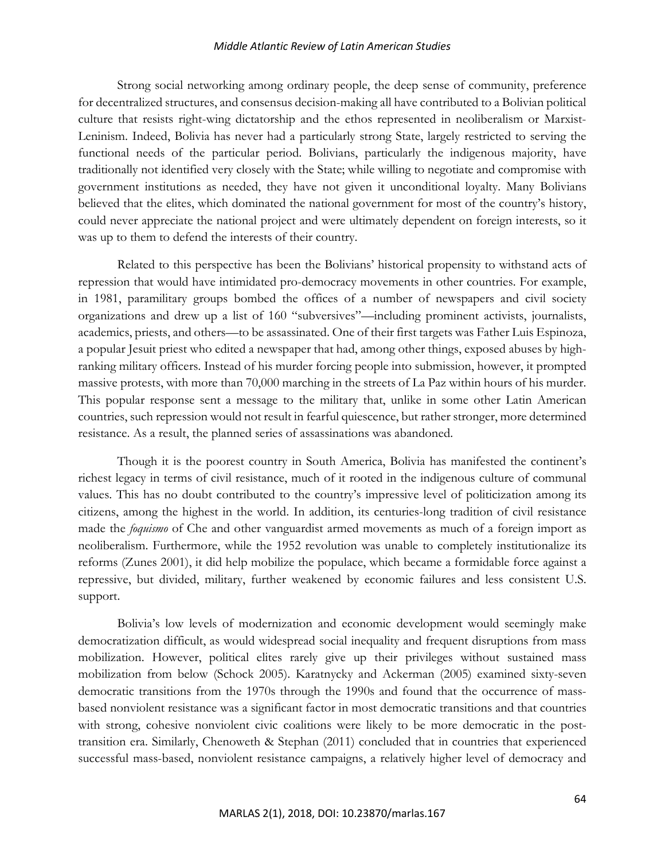Strong social networking among ordinary people, the deep sense of community, preference for decentralized structures, and consensus decision-making all have contributed to a Bolivian political culture that resists right-wing dictatorship and the ethos represented in neoliberalism or Marxist-Leninism. Indeed, Bolivia has never had a particularly strong State, largely restricted to serving the functional needs of the particular period. Bolivians, particularly the indigenous majority, have traditionally not identified very closely with the State; while willing to negotiate and compromise with government institutions as needed, they have not given it unconditional loyalty. Many Bolivians believed that the elites, which dominated the national government for most of the country's history, could never appreciate the national project and were ultimately dependent on foreign interests, so it was up to them to defend the interests of their country.

Related to this perspective has been the Bolivians' historical propensity to withstand acts of repression that would have intimidated pro-democracy movements in other countries. For example, in 1981, paramilitary groups bombed the offices of a number of newspapers and civil society organizations and drew up a list of 160 "subversives"—including prominent activists, journalists, academics, priests, and others—to be assassinated. One of their first targets was Father Luis Espinoza, a popular Jesuit priest who edited a newspaper that had, among other things, exposed abuses by highranking military officers. Instead of his murder forcing people into submission, however, it prompted massive protests, with more than 70,000 marching in the streets of La Paz within hours of his murder. This popular response sent a message to the military that, unlike in some other Latin American countries, such repression would not result in fearful quiescence, but rather stronger, more determined resistance. As a result, the planned series of assassinations was abandoned.

Though it is the poorest country in South America, Bolivia has manifested the continent's richest legacy in terms of civil resistance, much of it rooted in the indigenous culture of communal values. This has no doubt contributed to the country's impressive level of politicization among its citizens, among the highest in the world. In addition, its centuries-long tradition of civil resistance made the *foquismo* of Che and other vanguardist armed movements as much of a foreign import as neoliberalism. Furthermore, while the 1952 revolution was unable to completely institutionalize its reforms (Zunes 2001), it did help mobilize the populace, which became a formidable force against a repressive, but divided, military, further weakened by economic failures and less consistent U.S. support.

Bolivia's low levels of modernization and economic development would seemingly make democratization difficult, as would widespread social inequality and frequent disruptions from mass mobilization. However, political elites rarely give up their privileges without sustained mass mobilization from below (Schock 2005). Karatnycky and Ackerman (2005) examined sixty-seven democratic transitions from the 1970s through the 1990s and found that the occurrence of massbased nonviolent resistance was a significant factor in most democratic transitions and that countries with strong, cohesive nonviolent civic coalitions were likely to be more democratic in the posttransition era. Similarly, Chenoweth & Stephan (2011) concluded that in countries that experienced successful mass-based, nonviolent resistance campaigns, a relatively higher level of democracy and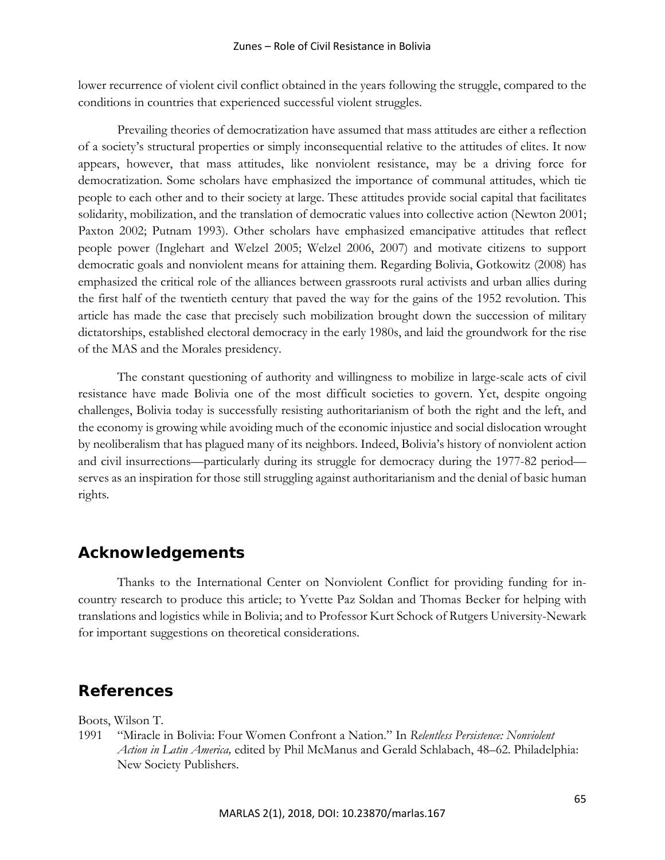lower recurrence of violent civil conflict obtained in the years following the struggle, compared to the conditions in countries that experienced successful violent struggles.

Prevailing theories of democratization have assumed that mass attitudes are either a reflection of a society's structural properties or simply inconsequential relative to the attitudes of elites. It now appears, however, that mass attitudes, like nonviolent resistance, may be a driving force for democratization. Some scholars have emphasized the importance of communal attitudes, which tie people to each other and to their society at large. These attitudes provide social capital that facilitates solidarity, mobilization, and the translation of democratic values into collective action (Newton 2001; Paxton 2002; Putnam 1993). Other scholars have emphasized emancipative attitudes that reflect people power (Inglehart and Welzel 2005; Welzel 2006, 2007) and motivate citizens to support democratic goals and nonviolent means for attaining them. Regarding Bolivia, Gotkowitz (2008) has emphasized the critical role of the alliances between grassroots rural activists and urban allies during the first half of the twentieth century that paved the way for the gains of the 1952 revolution. This article has made the case that precisely such mobilization brought down the succession of military dictatorships, established electoral democracy in the early 1980s, and laid the groundwork for the rise of the MAS and the Morales presidency.

The constant questioning of authority and willingness to mobilize in large-scale acts of civil resistance have made Bolivia one of the most difficult societies to govern. Yet, despite ongoing challenges, Bolivia today is successfully resisting authoritarianism of both the right and the left, and the economy is growing while avoiding much of the economic injustice and social dislocation wrought by neoliberalism that has plagued many of its neighbors. Indeed, Bolivia's history of nonviolent action and civil insurrections—particularly during its struggle for democracy during the 1977-82 period serves as an inspiration for those still struggling against authoritarianism and the denial of basic human rights.

# **Acknowledgements**

Thanks to the International Center on Nonviolent Conflict for providing funding for incountry research to produce this article; to Yvette Paz Soldan and Thomas Becker for helping with translations and logistics while in Bolivia; and to Professor Kurt Schock of Rutgers University-Newark for important suggestions on theoretical considerations.

# **References**

Boots, Wilson T.

1991 "Miracle in Bolivia: Four Women Confront a Nation." In *Relentless Persistence: Nonviolent Action in Latin America,* edited by Phil McManus and Gerald Schlabach, 48–62. Philadelphia: New Society Publishers.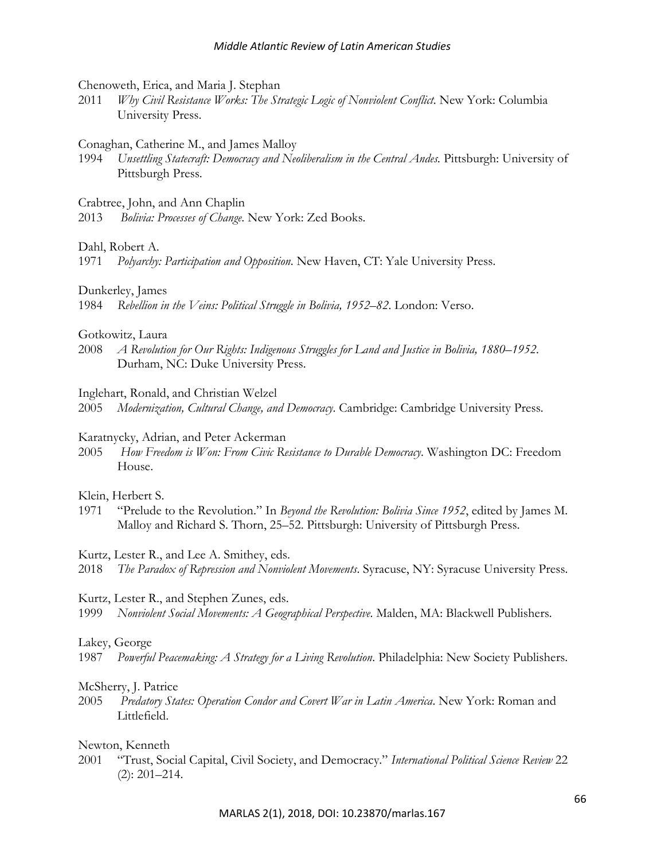Chenoweth, Erica, and Maria J. Stephan

2011 *Why Civil Resistance Works: The Strategic Logic of Nonviolent Conflict*. New York: Columbia University Press.

### Conaghan, Catherine M., and James Malloy

1994 *Unsettling Statecraft: Democracy and Neoliberalism in the Central Andes.* Pittsburgh: University of Pittsburgh Press.

Crabtree, John, and Ann Chaplin

2013 *Bolivia: Processes of Change*. New York: Zed Books.

Dahl, Robert A.

1971 *Polyarchy: Participation and Opposition*. New Haven, CT: Yale University Press.

### Dunkerley, James

1984 *Rebellion in the Veins: Political Struggle in Bolivia, 1952–82*. London: Verso.

### Gotkowitz, Laura

2008 *A Revolution for Our Rights: Indigenous Struggles for Land and Justice in Bolivia, 1880–1952*. Durham, NC: Duke University Press.

Inglehart, Ronald, and Christian Welzel

2005 *Modernization, Cultural Change, and Democracy*. Cambridge: Cambridge University Press.

#### Karatnycky, Adrian, and Peter Ackerman

2005 *How Freedom is Won: From Civic Resistance to Durable Democracy*. Washington DC: Freedom House.

# Klein, Herbert S.

1971 "Prelude to the Revolution." In *Beyond the Revolution: Bolivia Since 1952*, edited by James M. Malloy and Richard S. Thorn, 25–52. Pittsburgh: University of Pittsburgh Press.

#### Kurtz, Lester R., and Lee A. Smithey, eds.

2018 *The Paradox of Repression and Nonviolent Movements*. Syracuse, NY: Syracuse University Press.

# Kurtz, Lester R., and Stephen Zunes, eds.

1999 *Nonviolent Social Movements: A Geographical Perspective*. Malden, MA: Blackwell Publishers.

# Lakey, George

1987 *Powerful Peacemaking: A Strategy for a Living Revolution*. Philadelphia: New Society Publishers.

# McSherry, J. Patrice

2005 *Predatory States: Operation Condor and Covert War in Latin America*. New York: Roman and Littlefield.

# Newton, Kenneth

2001 "Trust, Social Capital, Civil Society, and Democracy." *International Political Science Review* 22 (2): 201–214.